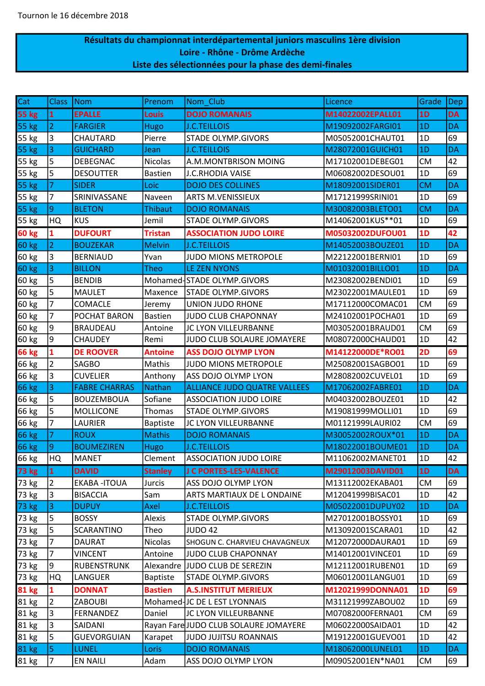## Résultats du championnat interdépartemental juniors masculins 1ère division Loire - Rhône - Drôme Ardèche Liste des sélectionnées pour la phase des demi-finales

| Cat          | <b>Class</b>   | Nom                  | Prenom          | Nom Club                              | Licence          | Grade     | <b>Dep</b> |
|--------------|----------------|----------------------|-----------------|---------------------------------------|------------------|-----------|------------|
| <b>55 kg</b> | $\mathbf{1}$   | <b>EPALLE</b>        | Louis           | <b>DOJO ROMANAIS</b>                  | M14022002EPALL01 | 1D        | <b>DA</b>  |
| <b>55 kg</b> | $\overline{2}$ | <b>FARGIER</b>       | <b>Hugo</b>     | <b>J.C.TEILLOIS</b>                   | M19092002FARGI01 | 1D        | DA         |
| 55 kg        | 3              | CHAUTARD             | Pierre          | <b>STADE OLYMP.GIVORS</b>             | M05052001CHAUT01 | 1D        | 69         |
| 55 kg        | 3              | <b>GUICHARD</b>      | Jean            | <b>J.C.TEILLOIS</b>                   | M28072001GUICH01 | 1D        | <b>DA</b>  |
| 55 kg        | 5              | <b>DEBEGNAC</b>      | Nicolas         | A.M.MONTBRISON MOING                  | M17102001DEBEG01 | <b>CM</b> | 42         |
| 55 kg        | 5              | <b>DESOUTTER</b>     | <b>Bastien</b>  | <b>J.C.RHODIA VAISE</b>               | M06082002DESOU01 | 1D        | 69         |
| 55 kg        | 7              | <b>SIDER</b>         | Loic            | <b>DOJO DES COLLINES</b>              | M18092001SIDER01 | <b>CM</b> | <b>DA</b>  |
| 55 kg        | 7              | SRINIVASSANE         | Naveen          | <b>ARTS M.VENISSIEUX</b>              | M17121999SRINI01 | 1D        | 69         |
| 55 kg        | $\overline{9}$ | <b>BLETON</b>        | <b>Thibaut</b>  | <b>DOJO ROMANAIS</b>                  | M30082003BLETO01 | <b>CM</b> | <b>DA</b>  |
| 55 kg        | HQ             | <b>KUS</b>           | Jemil           | STADE OLYMP.GIVORS                    | M14062001KUS**01 | 1D        | 69         |
| <b>60 kg</b> | 1              | <b>DUFOURT</b>       | <b>Tristan</b>  | <b>ASSOCIATION JUDO LOIRE</b>         | M05032002DUFOU01 | 1D        | 42         |
| 60 kg        | $\overline{2}$ | <b>BOUZEKAR</b>      | <b>Melvin</b>   | <b>J.C.TEILLOIS</b>                   | M14052003BOUZE01 | 1D        | <b>DA</b>  |
| 60 kg        | $\vert$ 3      | <b>BERNIAUD</b>      | Yvan            | JUDO MIONS METROPOLE                  | M22122001BERNI01 | 1D        | 69         |
| <b>60 kg</b> | 3              | <b>BILLON</b>        | <b>Theo</b>     | <b>LE ZEN NYONS</b>                   | M01032001BILLO01 | 1D        | <b>DA</b>  |
| 60 kg        | 5              | <b>BENDIB</b>        |                 | Mohamed-STADE OLYMP.GIVORS            | M23082002BENDI01 | 1D        | 69         |
| 60 kg        | 5              | <b>MAULET</b>        | Maxence         | <b>STADE OLYMP.GIVORS</b>             | M23022001MAULE01 | 1D        | 69         |
| 60 kg        | $\overline{7}$ | COMACLE              | Jeremy          | UNION JUDO RHONE                      | M17112000COMAC01 | <b>CM</b> | 69         |
| 60 kg        | 7              | POCHAT BARON         | <b>Bastien</b>  | <b>JUDO CLUB CHAPONNAY</b>            | M24102001POCHA01 | 1D        | 69         |
| 60 kg        | 9              | <b>BRAUDEAU</b>      | Antoine         | JC LYON VILLEURBANNE                  | M03052001BRAUD01 | <b>CM</b> | 69         |
| 60 kg        | 9              | <b>CHAUDEY</b>       | Remi            | JUDO CLUB SOLAURE JOMAYERE            | M08072000CHAUD01 | 1D        | 42         |
| <b>66 kg</b> | $\mathbf{1}$   | <b>DE ROOVER</b>     | <b>Antoine</b>  | <b>ASS DOJO OLYMP LYON</b>            | M14122000DE*RO01 | 2D        | 69         |
| 66 kg        | $\overline{2}$ | <b>SAGBO</b>         | Mathis          | <b>JUDO MIONS METROPOLE</b>           | M25082001SAGBO01 | 1D        | 69         |
| 66 kg        | 3              | <b>CUVELIER</b>      | Anthony         | ASS DOJO OLYMP LYON                   | M28082002CUVEL01 | 1D        | 69         |
| <b>66 kg</b> | 3              | <b>FABRE CHARRAS</b> | <b>Nathan</b>   | <b>ALLIANCE JUDO QUATRE VALLEES</b>   | M17062002FABRE01 | 1D        | DA         |
| 66 kg        | 5              | <b>BOUZEMBOUA</b>    | Sofiane         | <b>ASSOCIATION JUDO LOIRE</b>         | M04032002BOUZE01 | 1D        | 42         |
| 66 kg        | 5              | MOLLICONE            | Thomas          | <b>STADE OLYMP.GIVORS</b>             | M19081999MOLLI01 | 1D        | 69         |
| 66 kg        | 7              | LAURIER              | <b>Baptiste</b> | JC LYON VILLEURBANNE                  | M01121999LAURI02 | <b>CM</b> | 69         |
| 66 kg        | $\overline{7}$ | <b>ROUX</b>          | <b>Mathis</b>   | <b>DOJO ROMANAIS</b>                  | M30052002ROUX*01 | 1D        | <b>DA</b>  |
| 66 kg        | 9              | <b>BOUMEZIREN</b>    | <b>Hugo</b>     | <b>J.C.TEILLOIS</b>                   | M18022001BOUME01 | 1D        | <b>DA</b>  |
| 66 kg        | HQ             | MANET                | Clement         | <b>ASSOCIATION JUDO LOIRE</b>         | M11062002MANET01 | 1D        | 42         |
| 73 kg        | $\mathbf{1}$   | <b>DAVID</b>         | <b>Stanley</b>  | <b>J C PORTES-LES-VALENCE</b>         | M29012003DAVID01 | 1D        | DA.        |
| 73 kg        | $\vert$ 2      | <b>EKABA-ITOUA</b>   | Jurcis          | ASS DOJO OLYMP LYON                   | M13112002EKABA01 | <b>CM</b> | 69         |
| 73 kg        | 3              | <b>BISACCIA</b>      | Sam             | ARTS MARTIAUX DE LONDAINE             | M12041999BISAC01 | 1D        | 42         |
| 73 kg        | $\vert$ 3      | <b>DUPUY</b>         | <b>Axel</b>     | <b>J.C.TEILLOIS</b>                   | M05022001DUPUY02 | 1D        | <b>DA</b>  |
| 73 kg        | 5              | <b>BOSSY</b>         | Alexis          | STADE OLYMP.GIVORS                    | M27012001BOSSY01 | 1D        | 69         |
| 73 kg        | 5              | <b>SCARANTINO</b>    | Theo            | <b>JUDO 42</b>                        | M13092001SCARA01 | 1D        | 42         |
| 73 kg        | $\overline{7}$ | <b>DAURAT</b>        | <b>Nicolas</b>  | SHOGUN C. CHARVIEU CHAVAGNEUX         | M12072000DAURA01 | 1D        | 69         |
| 73 kg        | 7              | <b>VINCENT</b>       | Antoine         | <b>JUDO CLUB CHAPONNAY</b>            | M14012001VINCE01 | 1D        | 69         |
| 73 kg        | 9              | <b>RUBENSTRUNK</b>   |                 | Alexandre JUDO CLUB DE SEREZIN        | M12112001RUBEN01 | 1D        | 69         |
| 73 kg        | HQ             | LANGUER              | <b>Baptiste</b> | <b>STADE OLYMP.GIVORS</b>             | M06012001LANGU01 | 1D        | 69         |
| <b>81 kg</b> | 1              | <b>DONNAT</b>        | <b>Bastien</b>  | <b>A.S.INSTITUT MERIEUX</b>           | M12021999DONNA01 | 1D        | 69         |
| 81 kg        | $\overline{2}$ | <b>ZABOUBI</b>       |                 | Mohamed-JC DE L EST LYONNAIS          | M31121999ZABOU02 | 1D        | 69         |
| 81 kg        | $\overline{3}$ | FERNANDEZ            | Daniel          | JC LYON VILLEURBANNE                  | M07082000FERNA01 | <b>CM</b> | 69         |
| 81 kg        | <sub>3</sub>   | SAIDANI              |                 | Rayan Fare JUDO CLUB SOLAURE JOMAYERE | M06022000SAIDA01 | 1D        | 42         |
| 81 kg        | 5              | <b>GUEVORGUIAN</b>   | Karapet         | <b>JUDO JUJITSU ROANNAIS</b>          | M19122001GUEVO01 | 1D        | 42         |
| 81 kg        | 5              | <b>LUNEL</b>         | Loris           | <b>DOJO ROMANAIS</b>                  | M18062000LUNEL01 | 1D        | <b>DA</b>  |
| 81 kg        | $\overline{7}$ | <b>EN NAILI</b>      | Adam            | ASS DOJO OLYMP LYON                   | M09052001EN*NA01 | <b>CM</b> | 69         |